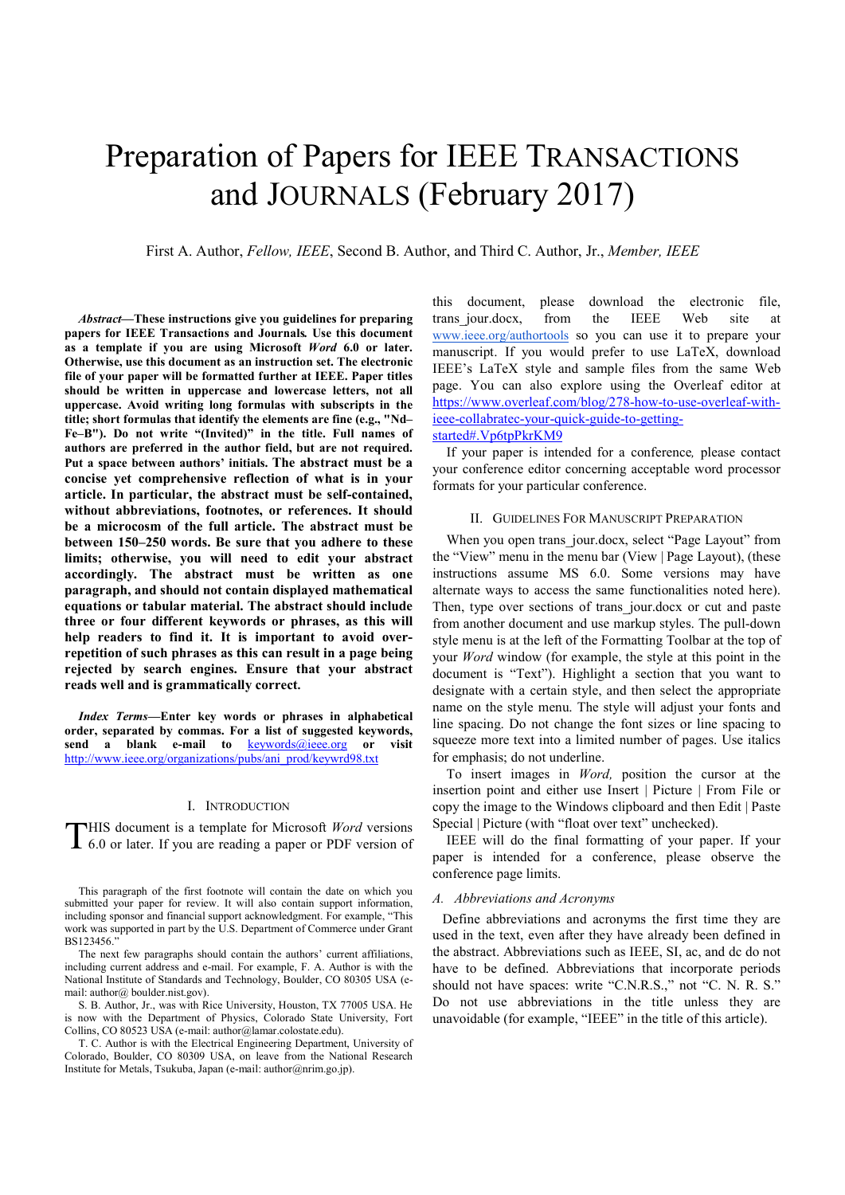# Preparation of Papers for IEEE TRANSACTIONS and JOURNALS (February 2017)

First A. Author, Fellow, IEEE, Second B. Author, and Third C. Author, Jr., Member, IEEE

Abstract—These instructions give you guidelines for preparing papers for IEEE Transactions and Journals. Use this document as a template if you are using Microsoft Word 6.0 or later. Otherwise, use this document as an instruction set. The electronic file of your paper will be formatted further at IEEE. Paper titles should be written in uppercase and lowercase letters, not all uppercase. Avoid writing long formulas with subscripts in the title; short formulas that identify the elements are fine (e.g., "Nd– Fe–B"). Do not write "(Invited)" in the title. Full names of authors are preferred in the author field, but are not required. Put a space between authors' initials. The abstract must be a concise yet comprehensive reflection of what is in your article. In particular, the abstract must be self-contained, without abbreviations, footnotes, or references. It should be a microcosm of the full article. The abstract must be between 150–250 words. Be sure that you adhere to these limits; otherwise, you will need to edit your abstract accordingly. The abstract must be written as one paragraph, and should not contain displayed mathematical equations or tabular material. The abstract should include three or four different keywords or phrases, as this will help readers to find it. It is important to avoid overrepetition of such phrases as this can result in a page being rejected by search engines. Ensure that your abstract reads well and is grammatically correct.

Index Terms—Enter key words or phrases in alphabetical order, separated by commas. For a list of suggested keywords, send a blank e-mail to  $keywords@ieee.org$  or visit http://www.ieee.org/organizations/pubs/ani\_prod/keywrd98.txt

## I. INTRODUCTION

HIS document is a template for Microsoft Word versions THIS document is a template for Microsoft *Word* versions 6.0 or later. If you are reading a paper or PDF version of

This paragraph of the first footnote will contain the date on which you submitted your paper for review. It will also contain support information, including sponsor and financial support acknowledgment. For example, "This work was supported in part by the U.S. Department of Commerce under Grant BS123456."

The next few paragraphs should contain the authors' current affiliations, including current address and e-mail. For example, F. A. Author is with the National Institute of Standards and Technology, Boulder, CO 80305 USA (email: author@ boulder.nist.gov).

S. B. Author, Jr., was with Rice University, Houston, TX 77005 USA. He is now with the Department of Physics, Colorado State University, Fort Collins, CO 80523 USA (e-mail: author@lamar.colostate.edu).

T. C. Author is with the Electrical Engineering Department, University of Colorado, Boulder, CO 80309 USA, on leave from the National Research Institute for Metals, Tsukuba, Japan (e-mail: author@nrim.go.jp).

this document, please download the electronic file, trans jour.docx, from the IEEE Web site at www.ieee.org/authortools so you can use it to prepare your manuscript. If you would prefer to use LaTeX, download IEEE's LaTeX style and sample files from the same Web page. You can also explore using the Overleaf editor at https://www.overleaf.com/blog/278-how-to-use-overleaf-withieee-collabratec-your-quick-guide-to-getting-

# started#.Vp6tpPkrKM9

If your paper is intended for a conference, please contact your conference editor concerning acceptable word processor formats for your particular conference.

#### II. GUIDELINES FOR MANUSCRIPT PREPARATION

When you open trans\_jour.docx, select "Page Layout" from the "View" menu in the menu bar (View | Page Layout), (these instructions assume MS 6.0. Some versions may have alternate ways to access the same functionalities noted here). Then, type over sections of trans\_jour.docx or cut and paste from another document and use markup styles. The pull-down style menu is at the left of the Formatting Toolbar at the top of your Word window (for example, the style at this point in the document is "Text"). Highlight a section that you want to designate with a certain style, and then select the appropriate name on the style menu. The style will adjust your fonts and line spacing. Do not change the font sizes or line spacing to squeeze more text into a limited number of pages. Use italics for emphasis; do not underline.

To insert images in Word, position the cursor at the insertion point and either use Insert | Picture | From File or copy the image to the Windows clipboard and then Edit | Paste Special | Picture (with "float over text" unchecked).

IEEE will do the final formatting of your paper. If your paper is intended for a conference, please observe the conference page limits.

#### A. Abbreviations and Acronyms

Define abbreviations and acronyms the first time they are used in the text, even after they have already been defined in the abstract. Abbreviations such as IEEE, SI, ac, and dc do not have to be defined. Abbreviations that incorporate periods should not have spaces: write "C.N.R.S.," not "C. N. R. S." Do not use abbreviations in the title unless they are unavoidable (for example, "IEEE" in the title of this article).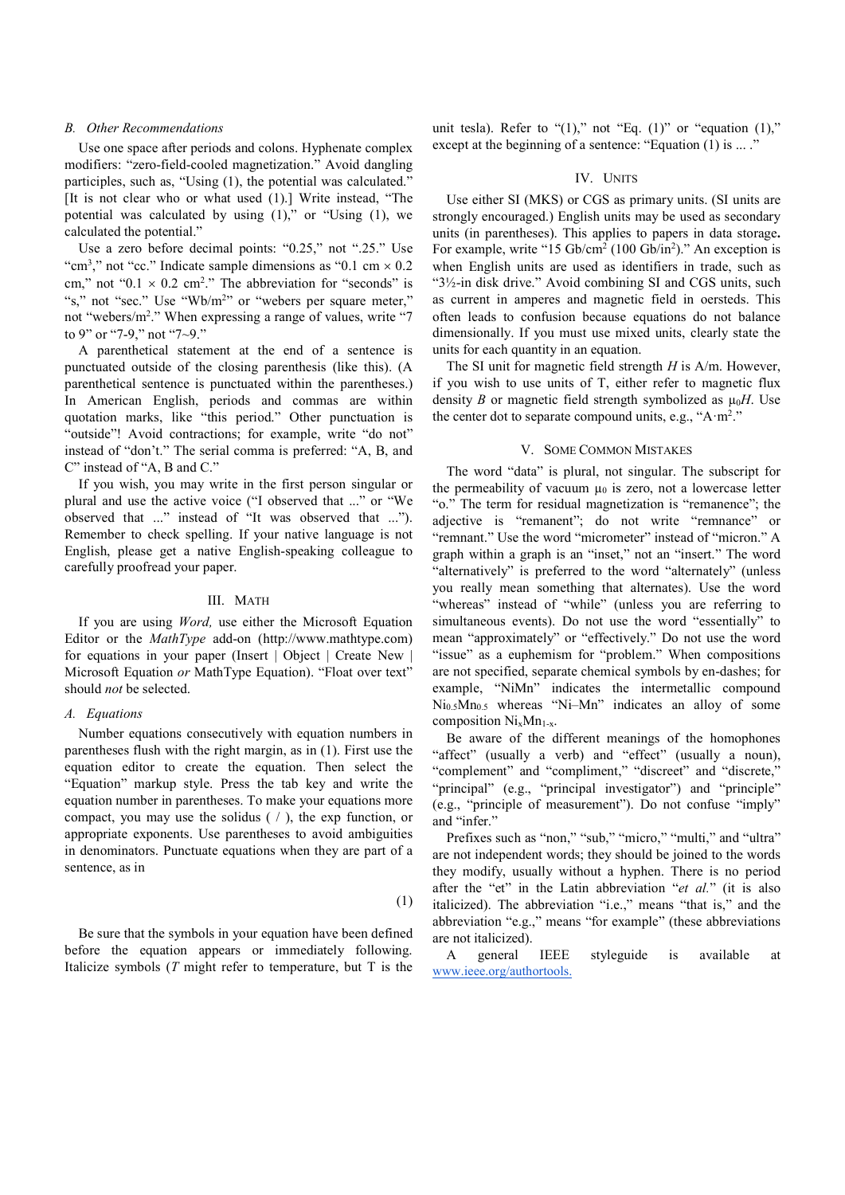#### B. Other Recommendations

Use one space after periods and colons. Hyphenate complex modifiers: "zero-field-cooled magnetization." Avoid dangling participles, such as, "Using (1), the potential was calculated." [It is not clear who or what used (1).] Write instead, "The potential was calculated by using (1)," or "Using (1), we calculated the potential."

Use a zero before decimal points: "0.25," not ".25." Use "cm<sup>3</sup>," not "cc." Indicate sample dimensions as "0.1 cm  $\times$  0.2 cm," not " $0.1 \times 0.2$  cm<sup>2</sup>." The abbreviation for "seconds" is "s," not "sec." Use "Wb/m<sup>2</sup>" or "webers per square meter," not "webers/m<sup>2</sup> ." When expressing a range of values, write "7 to 9" or "7-9," not "7~9."

A parenthetical statement at the end of a sentence is punctuated outside of the closing parenthesis (like this). (A parenthetical sentence is punctuated within the parentheses.) In American English, periods and commas are within quotation marks, like "this period." Other punctuation is "outside"! Avoid contractions; for example, write "do not" instead of "don't." The serial comma is preferred: "A, B, and C" instead of "A, B and C."

If you wish, you may write in the first person singular or plural and use the active voice ("I observed that ..." or "We observed that ..." instead of "It was observed that ..."). Remember to check spelling. If your native language is not English, please get a native English-speaking colleague to carefully proofread your paper.

# III. MATH

If you are using Word, use either the Microsoft Equation Editor or the MathType add-on (http://www.mathtype.com) for equations in your paper (Insert | Object | Create New | Microsoft Equation or MathType Equation). "Float over text" should not be selected.

# A. Equations

Number equations consecutively with equation numbers in parentheses flush with the right margin, as in (1). First use the equation editor to create the equation. Then select the "Equation" markup style. Press the tab key and write the equation number in parentheses. To make your equations more compact, you may use the solidus ( / ), the exp function, or appropriate exponents. Use parentheses to avoid ambiguities in denominators. Punctuate equations when they are part of a sentence, as in

(1)

Be sure that the symbols in your equation have been defined before the equation appears or immediately following. Italicize symbols  $(T \text{ might refer to temperature, but } T \text{ is the})$  unit tesla). Refer to " $(1)$ ," not "Eq.  $(1)$ " or "equation  $(1)$ ," except at the beginning of a sentence: "Equation (1) is ... ."

# IV. UNITS

Use either SI (MKS) or CGS as primary units. (SI units are strongly encouraged.) English units may be used as secondary units (in parentheses). This applies to papers in data storage. For example, write " $15$  Gb/cm<sup>2</sup> (100 Gb/in<sup>2</sup>)." An exception is when English units are used as identifiers in trade, such as "3½-in disk drive." Avoid combining SI and CGS units, such as current in amperes and magnetic field in oersteds. This often leads to confusion because equations do not balance dimensionally. If you must use mixed units, clearly state the units for each quantity in an equation.

The SI unit for magnetic field strength  $H$  is A/m. However, if you wish to use units of T, either refer to magnetic flux density B or magnetic field strength symbolized as  $\mu_0H$ . Use the center dot to separate compound units, e.g., " $A \cdot m^2$ ."

## V. SOME COMMON MISTAKES

The word "data" is plural, not singular. The subscript for the permeability of vacuum  $\mu_0$  is zero, not a lowercase letter "o." The term for residual magnetization is "remanence"; the adjective is "remanent"; do not write "remnance" or "remnant." Use the word "micrometer" instead of "micron." A graph within a graph is an "inset," not an "insert." The word "alternatively" is preferred to the word "alternately" (unless you really mean something that alternates). Use the word "whereas" instead of "while" (unless you are referring to simultaneous events). Do not use the word "essentially" to mean "approximately" or "effectively." Do not use the word "issue" as a euphemism for "problem." When compositions are not specified, separate chemical symbols by en-dashes; for example, "NiMn" indicates the intermetallic compound  $Ni<sub>0.5</sub>Mn<sub>0.5</sub>$  whereas "Ni–Mn" indicates an alloy of some composition  $Ni_xMn_{1-x}$ .

Be aware of the different meanings of the homophones "affect" (usually a verb) and "effect" (usually a noun), "complement" and "compliment," "discreet" and "discrete," "principal" (e.g., "principal investigator") and "principle" (e.g., "principle of measurement"). Do not confuse "imply" and "infer."

Prefixes such as "non," "sub," "micro," "multi," and "ultra" are not independent words; they should be joined to the words they modify, usually without a hyphen. There is no period after the "et" in the Latin abbreviation "et al." (it is also italicized). The abbreviation "i.e.," means "that is," and the abbreviation "e.g.," means "for example" (these abbreviations are not italicized).

A general IEEE styleguide is available at www.ieee.org/authortools.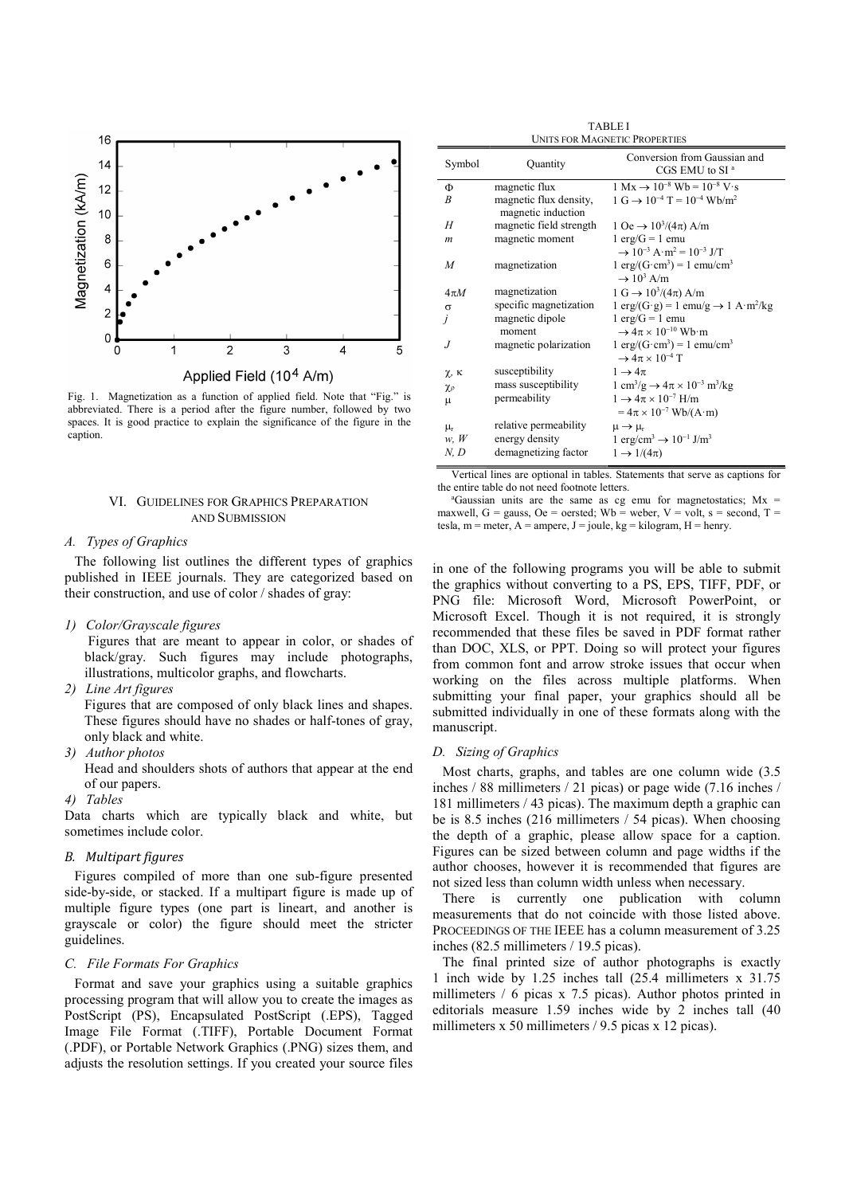

Fig. 1. Magnetization as a function of applied field. Note that "Fig." is abbreviated. There is a period after the figure number, followed by two spaces. It is good practice to explain the significance of the figure in the caption.

## VI. GUIDELINES FOR GRAPHICS PREPARATION AND SUBMISSION

# A. Types of Graphics

The following list outlines the different types of graphics published in IEEE journals. They are categorized based on their construction, and use of color / shades of gray:

1) Color/Grayscale figures

 Figures that are meant to appear in color, or shades of black/gray. Such figures may include photographs, illustrations, multicolor graphs, and flowcharts.

2) Line Art figures

Figures that are composed of only black lines and shapes. These figures should have no shades or half-tones of gray, only black and white.

3) Author photos

Head and shoulders shots of authors that appear at the end of our papers.

4) Tables

Data charts which are typically black and white, but sometimes include color.

#### B. Multipart figures

Figures compiled of more than one sub-figure presented side-by-side, or stacked. If a multipart figure is made up of multiple figure types (one part is lineart, and another is grayscale or color) the figure should meet the stricter guidelines.

## C. File Formats For Graphics

Format and save your graphics using a suitable graphics processing program that will allow you to create the images as PostScript (PS), Encapsulated PostScript (.EPS), Tagged Image File Format (.TIFF), Portable Document Format (.PDF), or Portable Network Graphics (.PNG) sizes them, and adjusts the resolution settings. If you created your source files

| <b>TABLE I</b>                       |
|--------------------------------------|
| <b>UNITS FOR MAGNETIC PROPERTIES</b> |

| Symbol           | Quantity                                     | Conversion from Gaussian and<br>CGS EMU to SI <sup>a</sup>                       |
|------------------|----------------------------------------------|----------------------------------------------------------------------------------|
| Φ                | magnetic flux                                | $1 \text{ Mx} \rightarrow 10^{-8} \text{ Wb} = 10^{-8} \text{ V} \cdot \text{s}$ |
| B                | magnetic flux density,<br>magnetic induction | $1 \text{ G} \rightarrow 10^{-4} \text{ T} = 10^{-4} \text{ Wb/m}^2$             |
| H                | magnetic field strength                      | $1 \text{ Oe} \rightarrow 10^{3}/(4\pi) \text{ A/m}$                             |
| $\boldsymbol{m}$ | magnetic moment                              | $1 \text{ erg/G} = 1 \text{ emu}$                                                |
|                  |                                              | $\rightarrow 10^{-3}$ A·m <sup>2</sup> = 10 <sup>-3</sup> J/T                    |
| M                | magnetization                                | $1 \text{ erg/(G·cm}^3) = 1 \text{ emu/cm}^3$                                    |
|                  |                                              | $\rightarrow 10^3$ A/m                                                           |
| $4\pi M$         | magnetization                                | $1 \text{ G} \rightarrow 10^3/(4\pi) \text{ A/m}$                                |
| $\sigma$         | specific magnetization                       | $1 \text{ erg/(G·g)} = 1 \text{ emu/g} \rightarrow 1 \text{ A·m}^2/\text{kg}$    |
|                  | magnetic dipole                              | $1 \text{ erg/G} = 1 \text{ emu}$                                                |
|                  | moment                                       | $\rightarrow$ 4 $\pi \times 10^{-10}$ Wb·m                                       |
| .J               | magnetic polarization                        | $1 \text{ erg/(G·cm3)} = 1 \text{ emu/cm3}$                                      |
|                  |                                              | $\rightarrow$ 4 $\pi \times 10^{-4}$ T                                           |
| χκ               | susceptibility                               | $1 \rightarrow 4\pi$                                                             |
| $\chi_{\rho}$    | mass susceptibility                          | $1 \text{ cm}^3/\text{g} \rightarrow 4\pi \times 10^{-3} \text{ m}^3/\text{kg}$  |
| μ                | permeability                                 | $1 \rightarrow 4\pi \times 10^{-7}$ H/m                                          |
|                  |                                              | $= 4\pi \times 10^{-7}$ Wb/(A·m)                                                 |
| $\mu_r$          | relative permeability                        | $\mu \rightarrow \mu_r$                                                          |
| w, W             | energy density                               | $1 \text{ erg/cm}^3 \rightarrow 10^{-1} \text{ J/m}^3$                           |
| N, D             | demagnetizing factor                         | $1 \rightarrow 1/(4\pi)$                                                         |

Vertical lines are optional in tables. Statements that serve as captions for the entire table do not need footnote letters.

<sup>a</sup>Gaussian units are the same as cg emu for magnetostatics;  $Mx =$ maxwell,  $G =$  gauss,  $Oe =$  oersted;  $Wb =$  weber,  $V =$  volt,  $s =$  second,  $T =$ tesla, m = meter, A = ampere, J = joule, kg = kilogram, H = henry.

in one of the following programs you will be able to submit the graphics without converting to a PS, EPS, TIFF, PDF, or PNG file: Microsoft Word, Microsoft PowerPoint, or Microsoft Excel. Though it is not required, it is strongly recommended that these files be saved in PDF format rather than DOC, XLS, or PPT. Doing so will protect your figures from common font and arrow stroke issues that occur when working on the files across multiple platforms. When submitting your final paper, your graphics should all be submitted individually in one of these formats along with the manuscript.

## D. Sizing of Graphics

Most charts, graphs, and tables are one column wide (3.5 inches / 88 millimeters / 21 picas) or page wide (7.16 inches / 181 millimeters / 43 picas). The maximum depth a graphic can be is 8.5 inches (216 millimeters / 54 picas). When choosing the depth of a graphic, please allow space for a caption. Figures can be sized between column and page widths if the author chooses, however it is recommended that figures are not sized less than column width unless when necessary.

There is currently one publication with column measurements that do not coincide with those listed above. PROCEEDINGS OF THE IEEE has a column measurement of 3.25 inches (82.5 millimeters / 19.5 picas).

The final printed size of author photographs is exactly 1 inch wide by 1.25 inches tall (25.4 millimeters x 31.75 millimeters / 6 picas x 7.5 picas). Author photos printed in editorials measure 1.59 inches wide by 2 inches tall (40 millimeters x 50 millimeters / 9.5 picas x 12 picas).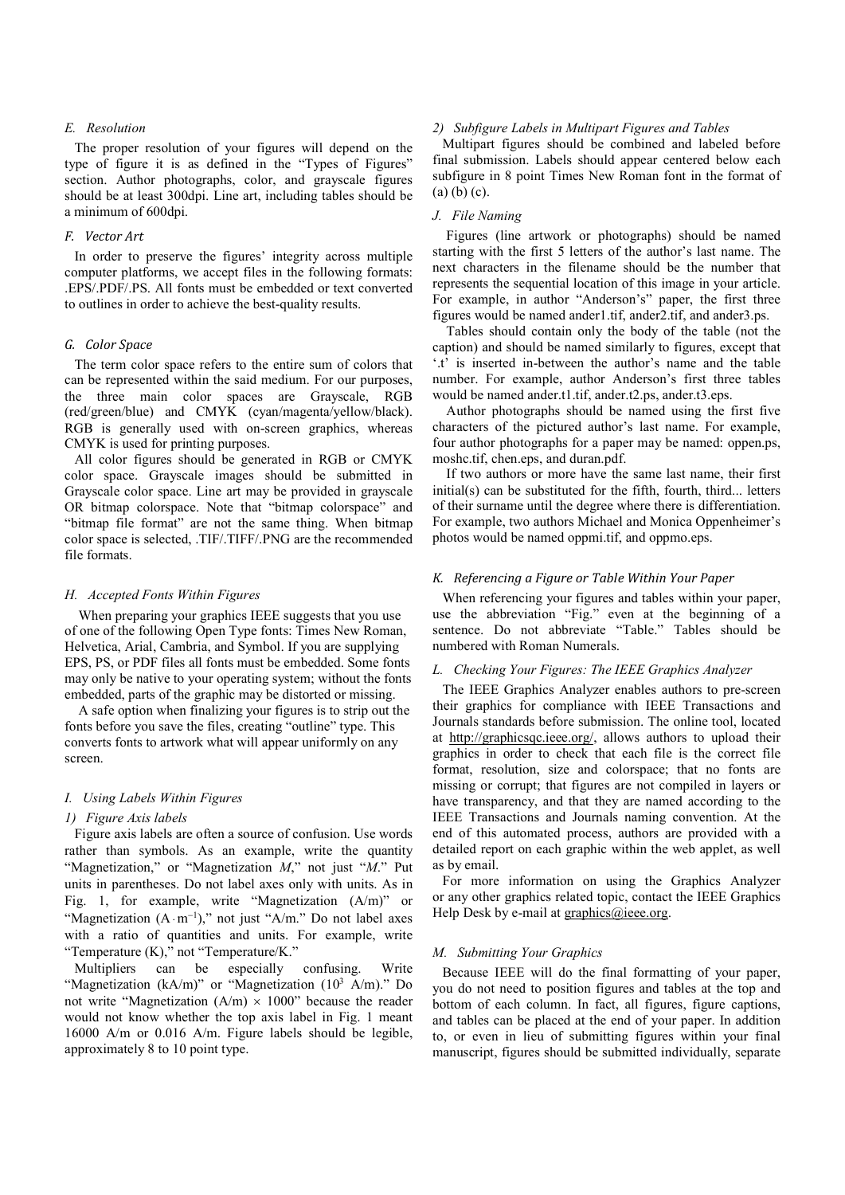## E. Resolution

The proper resolution of your figures will depend on the type of figure it is as defined in the "Types of Figures" section. Author photographs, color, and grayscale figures should be at least 300dpi. Line art, including tables should be a minimum of 600dpi.

#### F. Vector Art

In order to preserve the figures' integrity across multiple computer platforms, we accept files in the following formats: .EPS/.PDF/.PS. All fonts must be embedded or text converted to outlines in order to achieve the best-quality results.

#### G. Color Space

The term color space refers to the entire sum of colors that can be represented within the said medium. For our purposes, the three main color spaces are Grayscale, RGB (red/green/blue) and CMYK (cyan/magenta/yellow/black). RGB is generally used with on-screen graphics, whereas CMYK is used for printing purposes.

All color figures should be generated in RGB or CMYK color space. Grayscale images should be submitted in Grayscale color space. Line art may be provided in grayscale OR bitmap colorspace. Note that "bitmap colorspace" and "bitmap file format" are not the same thing. When bitmap color space is selected, .TIF/.TIFF/.PNG are the recommended file formats.

#### H. Accepted Fonts Within Figures

When preparing your graphics IEEE suggests that you use of one of the following Open Type fonts: Times New Roman, Helvetica, Arial, Cambria, and Symbol. If you are supplying EPS, PS, or PDF files all fonts must be embedded. Some fonts may only be native to your operating system; without the fonts embedded, parts of the graphic may be distorted or missing.

A safe option when finalizing your figures is to strip out the fonts before you save the files, creating "outline" type. This converts fonts to artwork what will appear uniformly on any screen.

# I. Using Labels Within Figures

## 1) Figure Axis labels

Figure axis labels are often a source of confusion. Use words rather than symbols. As an example, write the quantity "Magnetization," or "Magnetization M," not just "M." Put units in parentheses. Do not label axes only with units. As in Fig. 1, for example, write "Magnetization (A/m)" or "Magnetization  $(A \cdot m^{-1})$ ," not just "A/m." Do not label axes with a ratio of quantities and units. For example, write "Temperature (K)," not "Temperature/K."

Multipliers can be especially confusing. Write "Magnetization (kA/m)" or "Magnetization  $(10^3 \text{ A/m})$ ." Do not write "Magnetization  $(A/m) \times 1000$ " because the reader would not know whether the top axis label in Fig. 1 meant 16000 A/m or 0.016 A/m. Figure labels should be legible, approximately 8 to 10 point type.

# 2) Subfigure Labels in Multipart Figures and Tables

Multipart figures should be combined and labeled before final submission. Labels should appear centered below each subfigure in 8 point Times New Roman font in the format of (a) (b) (c).

## J. File Naming

 Figures (line artwork or photographs) should be named starting with the first 5 letters of the author's last name. The next characters in the filename should be the number that represents the sequential location of this image in your article. For example, in author "Anderson's" paper, the first three figures would be named ander1.tif, ander2.tif, and ander3.ps.

 Tables should contain only the body of the table (not the caption) and should be named similarly to figures, except that '.t' is inserted in-between the author's name and the table number. For example, author Anderson's first three tables would be named ander.t1.tif, ander.t2.ps, ander.t3.eps.

 Author photographs should be named using the first five characters of the pictured author's last name. For example, four author photographs for a paper may be named: oppen.ps, moshc.tif, chen.eps, and duran.pdf.

 If two authors or more have the same last name, their first initial(s) can be substituted for the fifth, fourth, third... letters of their surname until the degree where there is differentiation. For example, two authors Michael and Monica Oppenheimer's photos would be named oppmi.tif, and oppmo.eps.

# K. Referencing a Figure or Table Within Your Paper

When referencing your figures and tables within your paper, use the abbreviation "Fig." even at the beginning of a sentence. Do not abbreviate "Table." Tables should be numbered with Roman Numerals.

# L. Checking Your Figures: The IEEE Graphics Analyzer

The IEEE Graphics Analyzer enables authors to pre-screen their graphics for compliance with IEEE Transactions and Journals standards before submission. The online tool, located at http://graphicsqc.ieee.org/, allows authors to upload their graphics in order to check that each file is the correct file format, resolution, size and colorspace; that no fonts are missing or corrupt; that figures are not compiled in layers or have transparency, and that they are named according to the IEEE Transactions and Journals naming convention. At the end of this automated process, authors are provided with a detailed report on each graphic within the web applet, as well as by email.

For more information on using the Graphics Analyzer or any other graphics related topic, contact the IEEE Graphics Help Desk by e-mail at  $graphics@ieee.org$ .

# M. Submitting Your Graphics

Because IEEE will do the final formatting of your paper, you do not need to position figures and tables at the top and bottom of each column. In fact, all figures, figure captions, and tables can be placed at the end of your paper. In addition to, or even in lieu of submitting figures within your final manuscript, figures should be submitted individually, separate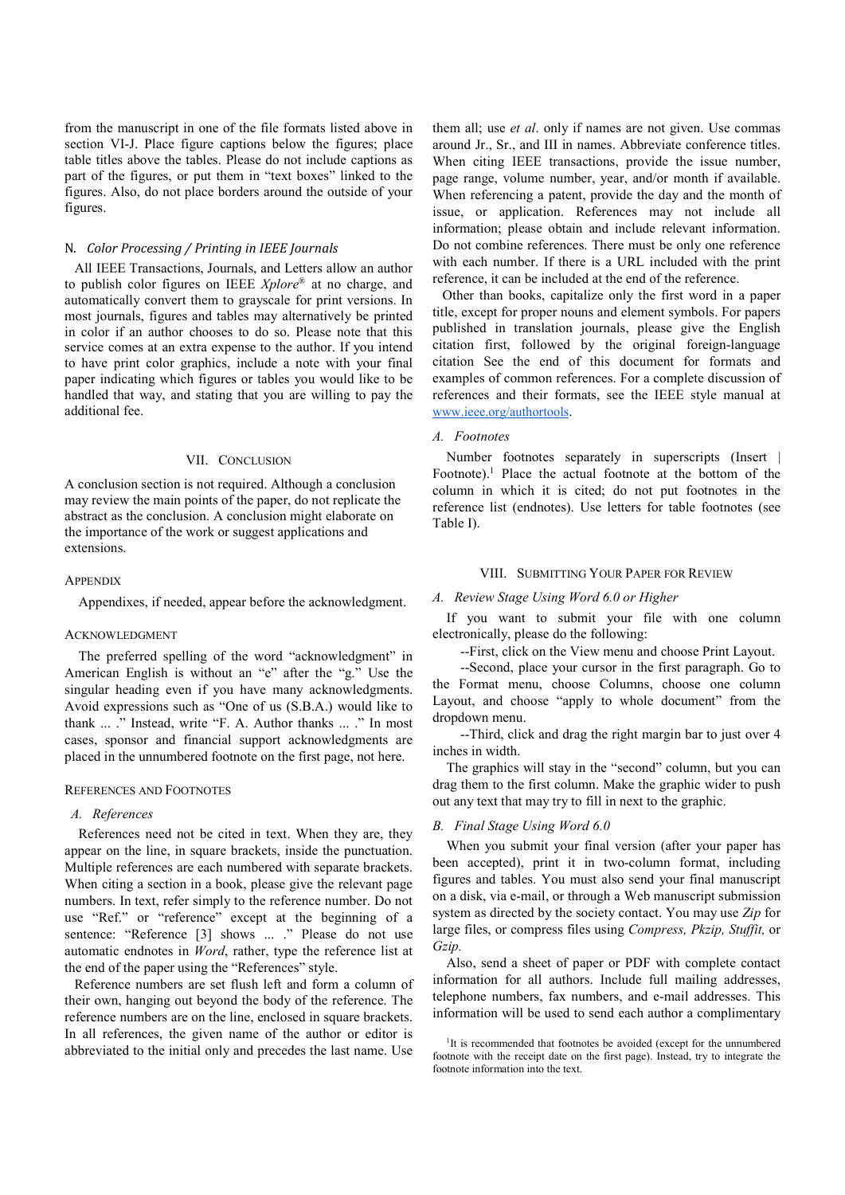from the manuscript in one of the file formats listed above in section VI-J. Place figure captions below the figures; place table titles above the tables. Please do not include captions as part of the figures, or put them in "text boxes" linked to the figures. Also, do not place borders around the outside of your figures.

## N. Color Processing / Printing in IEEE Journals

All IEEE Transactions, Journals, and Letters allow an author to publish color figures on IEEE  $Xplore^{\otimes}$  at no charge, and automatically convert them to grayscale for print versions. In most journals, figures and tables may alternatively be printed in color if an author chooses to do so. Please note that this service comes at an extra expense to the author. If you intend to have print color graphics, include a note with your final paper indicating which figures or tables you would like to be handled that way, and stating that you are willing to pay the additional fee.

## VII. CONCLUSION

A conclusion section is not required. Although a conclusion may review the main points of the paper, do not replicate the abstract as the conclusion. A conclusion might elaborate on the importance of the work or suggest applications and extensions.

#### **APPENDIX**

Appendixes, if needed, appear before the acknowledgment.

#### ACKNOWLEDGMENT

The preferred spelling of the word "acknowledgment" in American English is without an "e" after the "g." Use the singular heading even if you have many acknowledgments. Avoid expressions such as "One of us (S.B.A.) would like to thank ... ." Instead, write "F. A. Author thanks ... ." In most cases, sponsor and financial support acknowledgments are placed in the unnumbered footnote on the first page, not here.

#### REFERENCES AND FOOTNOTES

# A. References

References need not be cited in text. When they are, they appear on the line, in square brackets, inside the punctuation. Multiple references are each numbered with separate brackets. When citing a section in a book, please give the relevant page numbers. In text, refer simply to the reference number. Do not use "Ref." or "reference" except at the beginning of a sentence: "Reference [3] shows ... ." Please do not use automatic endnotes in Word, rather, type the reference list at the end of the paper using the "References" style.

Reference numbers are set flush left and form a column of their own, hanging out beyond the body of the reference. The reference numbers are on the line, enclosed in square brackets. In all references, the given name of the author or editor is abbreviated to the initial only and precedes the last name. Use

them all; use *et al.* only if names are not given. Use commas around Jr., Sr., and III in names. Abbreviate conference titles. When citing IEEE transactions, provide the issue number, page range, volume number, year, and/or month if available. When referencing a patent, provide the day and the month of issue, or application. References may not include all information; please obtain and include relevant information. Do not combine references. There must be only one reference with each number. If there is a URL included with the print reference, it can be included at the end of the reference.

Other than books, capitalize only the first word in a paper title, except for proper nouns and element symbols. For papers published in translation journals, please give the English citation first, followed by the original foreign-language citation See the end of this document for formats and examples of common references. For a complete discussion of references and their formats, see the IEEE style manual at www.ieee.org/authortools.

## A. Footnotes

Number footnotes separately in superscripts (Insert | Footnote).<sup>1</sup> Place the actual footnote at the bottom of the column in which it is cited; do not put footnotes in the reference list (endnotes). Use letters for table footnotes (see Table I).

#### VIII. SUBMITTING YOUR PAPER FOR REVIEW

# A. Review Stage Using Word 6.0 or Higher

If you want to submit your file with one column electronically, please do the following:

--First, click on the View menu and choose Print Layout.

 --Second, place your cursor in the first paragraph. Go to the Format menu, choose Columns, choose one column Layout, and choose "apply to whole document" from the dropdown menu.

 --Third, click and drag the right margin bar to just over 4 inches in width.

The graphics will stay in the "second" column, but you can drag them to the first column. Make the graphic wider to push out any text that may try to fill in next to the graphic.

#### B. Final Stage Using Word 6.0

When you submit your final version (after your paper has been accepted), print it in two-column format, including figures and tables. You must also send your final manuscript on a disk, via e-mail, or through a Web manuscript submission system as directed by the society contact. You may use Zip for large files, or compress files using Compress, Pkzip, Stuffit, or Gzip.

Also, send a sheet of paper or PDF with complete contact information for all authors. Include full mailing addresses, telephone numbers, fax numbers, and e-mail addresses. This information will be used to send each author a complimentary

<sup>&</sup>lt;sup>1</sup>It is recommended that footnotes be avoided (except for the unnumbered footnote with the receipt date on the first page). Instead, try to integrate the footnote information into the text.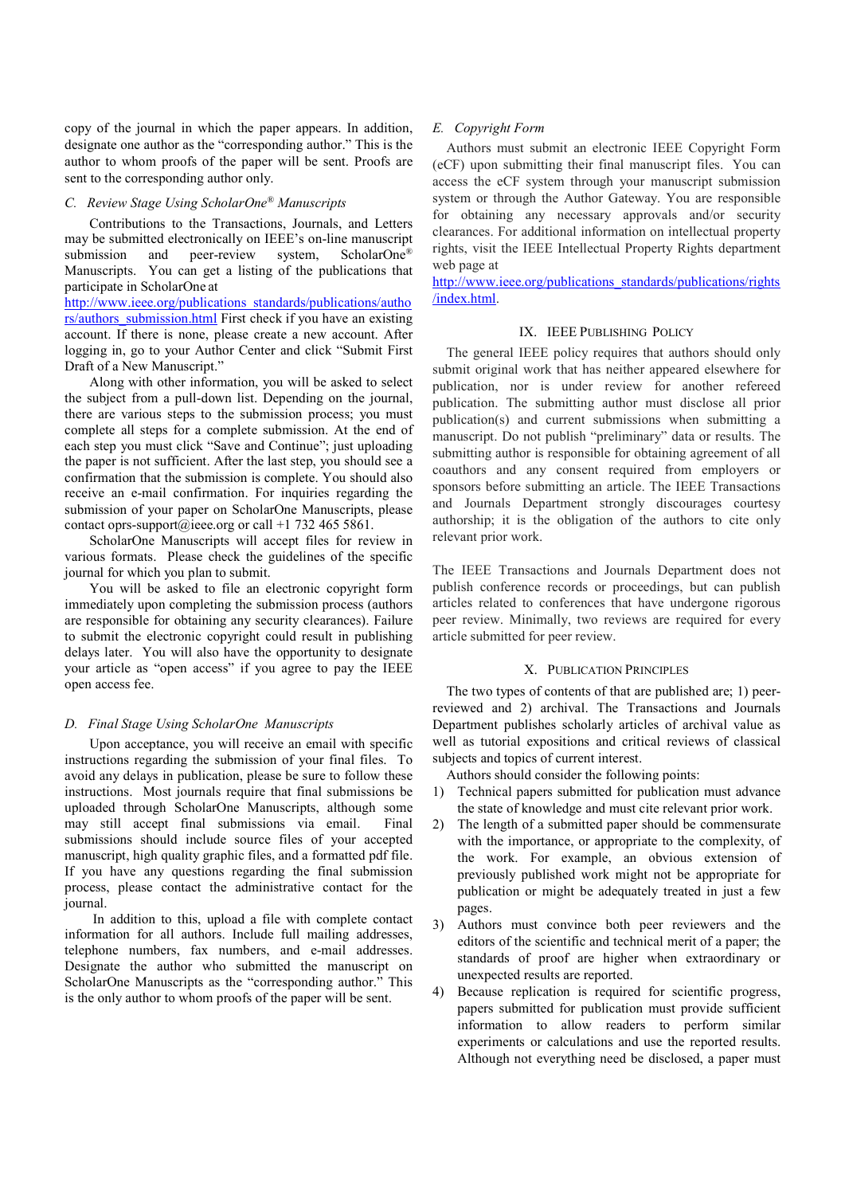copy of the journal in which the paper appears. In addition, designate one author as the "corresponding author." This is the author to whom proofs of the paper will be sent. Proofs are sent to the corresponding author only.

## C. Review Stage Using ScholarOne® Manuscripts

Contributions to the Transactions, Journals, and Letters may be submitted electronically on IEEE's on-line manuscript submission and peer-review system, ScholarOne® Manuscripts. You can get a listing of the publications that participate in ScholarOne at

http://www.ieee.org/publications\_standards/publications/autho rs/authors\_submission.html First check if you have an existing account. If there is none, please create a new account. After logging in, go to your Author Center and click "Submit First Draft of a New Manuscript."

Along with other information, you will be asked to select the subject from a pull-down list. Depending on the journal, there are various steps to the submission process; you must complete all steps for a complete submission. At the end of each step you must click "Save and Continue"; just uploading the paper is not sufficient. After the last step, you should see a confirmation that the submission is complete. You should also receive an e-mail confirmation. For inquiries regarding the submission of your paper on ScholarOne Manuscripts, please contact oprs-support@ieee.org or call +1 732 465 5861.

ScholarOne Manuscripts will accept files for review in various formats. Please check the guidelines of the specific journal for which you plan to submit.

You will be asked to file an electronic copyright form immediately upon completing the submission process (authors are responsible for obtaining any security clearances). Failure to submit the electronic copyright could result in publishing delays later. You will also have the opportunity to designate your article as "open access" if you agree to pay the IEEE open access fee.

# D. Final Stage Using ScholarOne Manuscripts

Upon acceptance, you will receive an email with specific instructions regarding the submission of your final files. To avoid any delays in publication, please be sure to follow these instructions. Most journals require that final submissions be uploaded through ScholarOne Manuscripts, although some may still accept final submissions via email. Final submissions should include source files of your accepted manuscript, high quality graphic files, and a formatted pdf file. If you have any questions regarding the final submission process, please contact the administrative contact for the journal.

In addition to this, upload a file with complete contact information for all authors. Include full mailing addresses, telephone numbers, fax numbers, and e-mail addresses. Designate the author who submitted the manuscript on ScholarOne Manuscripts as the "corresponding author." This is the only author to whom proofs of the paper will be sent.

#### E. Copyright Form

Authors must submit an electronic IEEE Copyright Form (eCF) upon submitting their final manuscript files. You can access the eCF system through your manuscript submission system or through the Author Gateway. You are responsible for obtaining any necessary approvals and/or security clearances. For additional information on intellectual property rights, visit the IEEE Intellectual Property Rights department web page at

http://www.ieee.org/publications\_standards/publications/rights /index.html.

#### IX. IEEE PUBLISHING POLICY

The general IEEE policy requires that authors should only submit original work that has neither appeared elsewhere for publication, nor is under review for another refereed publication. The submitting author must disclose all prior publication(s) and current submissions when submitting a manuscript. Do not publish "preliminary" data or results. The submitting author is responsible for obtaining agreement of all coauthors and any consent required from employers or sponsors before submitting an article. The IEEE Transactions and Journals Department strongly discourages courtesy authorship; it is the obligation of the authors to cite only relevant prior work.

The IEEE Transactions and Journals Department does not publish conference records or proceedings, but can publish articles related to conferences that have undergone rigorous peer review. Minimally, two reviews are required for every article submitted for peer review.

## X. PUBLICATION PRINCIPLES

The two types of contents of that are published are; 1) peerreviewed and 2) archival. The Transactions and Journals Department publishes scholarly articles of archival value as well as tutorial expositions and critical reviews of classical subjects and topics of current interest.

Authors should consider the following points:

- 1) Technical papers submitted for publication must advance the state of knowledge and must cite relevant prior work.
- 2) The length of a submitted paper should be commensurate with the importance, or appropriate to the complexity, of the work. For example, an obvious extension of previously published work might not be appropriate for publication or might be adequately treated in just a few pages.
- 3) Authors must convince both peer reviewers and the editors of the scientific and technical merit of a paper; the standards of proof are higher when extraordinary or unexpected results are reported.
- 4) Because replication is required for scientific progress, papers submitted for publication must provide sufficient information to allow readers to perform similar experiments or calculations and use the reported results. Although not everything need be disclosed, a paper must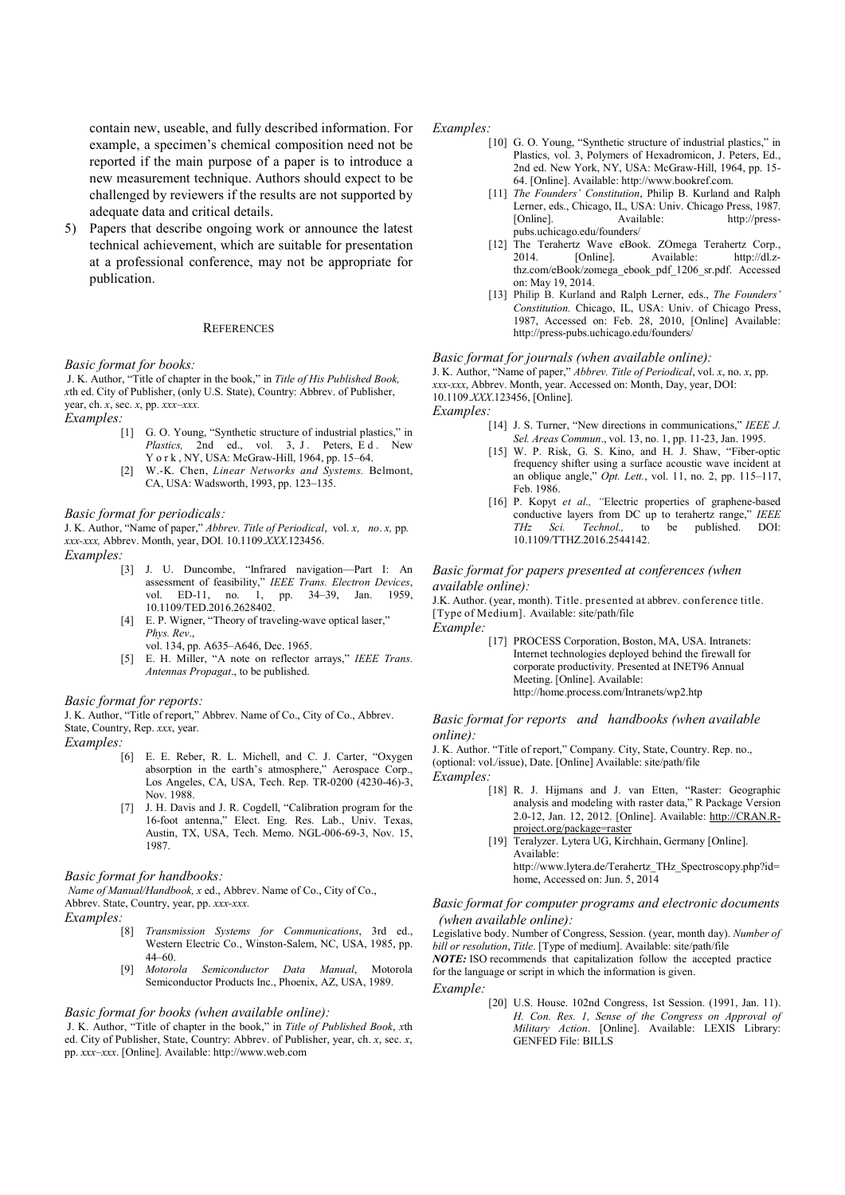contain new, useable, and fully described information. For example, a specimen's chemical composition need not be reported if the main purpose of a paper is to introduce a new measurement technique. Authors should expect to be challenged by reviewers if the results are not supported by adequate data and critical details.

5) Papers that describe ongoing work or announce the latest technical achievement, which are suitable for presentation at a professional conference, may not be appropriate for publication.

#### **REFERENCES**

Basic format for books:

 J. K. Author, "Title of chapter in the book," in Title of His Published Book, xth ed. City of Publisher, (only U.S. State), Country: Abbrev. of Publisher, vear, ch.  $x$ , sec.  $x$ , pp.  $xxx$ – $xxx$ .

Examples:

- [1] G. O. Young, "Synthetic structure of industrial plastics," in Plastics, 2nd ed., vol. 3, J. Peters, Ed. New Y o r k , NY, USA: McGraw-Hill, 1964, pp. 15–64.
- [2] W.-K. Chen, *Linear Networks and Systems*. Belmont, CA, USA: Wadsworth, 1993, pp. 123–135.

#### Basic format for periodicals:

J. K. Author, "Name of paper," Abbrev. Title of Periodical, vol. x, no. x, pp. xxx-xxx, Abbrev. Month, year, DOI. 10.1109.XXX.123456. Examples:

- [3] J. U. Duncombe, "Infrared navigation—Part I: An assessment of feasibility," IEEE Trans. Electron Devices, vol. ED-11. no. 1. pp. 34–39. Jan. 1959. vol. ED-11, no. 1, pp. 34–39, Jan. 1959, 10.1109/TED.2016.2628402.
- [4] E. P. Wigner, "Theory of traveling-wave optical laser," Phys. Rev.,
	- vol. 134, pp. A635–A646, Dec. 1965.
- [5] E. H. Miller, "A note on reflector arrays," IEEE Trans. Antennas Propagat., to be published.

#### Basic format for reports:

J. K. Author, "Title of report," Abbrev. Name of Co., City of Co., Abbrev. State, Country, Rep. xxx, year.

Examples:

- [6] E. E. Reber, R. L. Michell, and C. J. Carter, "Oxygen absorption in the earth's atmosphere," Aerospace Corp., Los Angeles, CA, USA, Tech. Rep. TR-0200 (4230-46)-3, Nov. 1988.
- [7] J. H. Davis and J. R. Cogdell, "Calibration program for the 16-foot antenna," Elect. Eng. Res. Lab., Univ. Texas, Austin, TX, USA, Tech. Memo. NGL-006-69-3, Nov. 15, 1987.

#### Basic format for handbooks:

Name of Manual/Handbook, x ed., Abbrev. Name of Co., City of Co., Abbrev. State, Country, year, pp. xxx-xxx.

Examples:

- [8] Transmission Systems for Communications, 3rd ed., Western Electric Co., Winston-Salem, NC, USA, 1985, pp. 44–60.
- [9] Motorola Semiconductor Data Manual, Motorola Semiconductor Products Inc., Phoenix, AZ, USA, 1989.

#### Basic format for books (when available online):

 J. K. Author, "Title of chapter in the book," in Title of Published Book, xth ed. City of Publisher, State, Country: Abbrev. of Publisher, year, ch. x, sec. x, pp. xxx–xxx. [Online]. Available: http://www.web.com

Examples:

- [10] G. O. Young, "Synthetic structure of industrial plastics," in Plastics, vol. 3, Polymers of Hexadromicon, J. Peters, Ed., 2nd ed. New York, NY, USA: McGraw-Hill, 1964, pp. 15- 64. [Online]. Available: http://www.bookref.com.
- [11] The Founders' Constitution, Philip B. Kurland and Ralph Lerner, eds., Chicago, IL, USA: Univ. Chicago Press, 1987. [Online]. Available: http://presspubs.uchicago.edu/founders/
- [12] The Terahertz Wave eBook. ZOmega Terahertz Corp., 2014. [Online]. Available: http://dl.zthz.com/eBook/zomega\_ebook\_pdf\_1206\_sr.pdf. Accessed on: May 19, 2014.
- [13] Philip B. Kurland and Ralph Lerner, eds., The Founders' Constitution. Chicago, IL, USA: Univ. of Chicago Press, 1987, Accessed on: Feb. 28, 2010, [Online] Available: http://press-pubs.uchicago.edu/founders/

#### Basic format for journals (when available online):

J. K. Author, "Name of paper," Abbrev. Title of Periodical, vol. x, no. x, pp. xxx-xxx, Abbrev. Month, year. Accessed on: Month, Day, year, DOI: 10.1109.XXX.123456, [Online]. Examples:

- [14] J. S. Turner, "New directions in communications," IEEE J. Sel. Areas Commun., vol. 13, no. 1, pp. 11-23, Jan. 1995.
- [15] W. P. Risk, G. S. Kino, and H. J. Shaw, "Fiber-optic frequency shifter using a surface acoustic wave incident at an oblique angle," Opt. Lett., vol. 11, no. 2, pp. 115–117, Feb. 1986.
- [16] P. Kopyt et al., "Electric properties of graphene-based conductive layers from DC up to terahertz range," IEEE THz Sci. Technol., to be published. DOI: 10.1109/TTHZ.2016.2544142.

#### Basic format for papers presented at conferences (when available online):

J.K. Author. (year, month). Title. presented at abbrev. conference title. [Type of Medium]. Available: site/path/file

Example:

[17] PROCESS Corporation, Boston, MA, USA. Intranets: Internet technologies deployed behind the firewall for corporate productivity. Presented at INET96 Annual Meeting. [Online]. Available: http://home.process.com/Intranets/wp2.htp

## Basic format for reports and handbooks (when available online):

J. K. Author. "Title of report," Company. City, State, Country. Rep. no., (optional: vol./issue), Date. [Online] Available: site/path/file Examples:

- [18] R. J. Hijmans and J. van Etten, "Raster: Geographic analysis and modeling with raster data," R Package Version 2.0-12, Jan. 12, 2012. [Online]. Available: http://CRAN.Rproject.org/package=raster
- [19] Teralyzer. Lytera UG, Kirchhain, Germany [Online]. Available:

http://www.lytera.de/Terahertz\_THz\_Spectroscopy.php?id= home, Accessed on: Jun. 5, 2014

## Basic format for computer programs and electronic documents (when available online):

Legislative body. Number of Congress, Session. (year, month day). Number of bill or resolution, Title. [Type of medium]. Available: site/path/file

NOTE: ISO recommends that capitalization follow the accepted practice for the language or script in which the information is given.

Example:

[20] U.S. House. 102nd Congress, 1st Session. (1991, Jan. 11). H. Con. Res. 1, Sense of the Congress on Approval of Military Action. [Online]. Available: LEXIS Library: GENFED File: BILLS